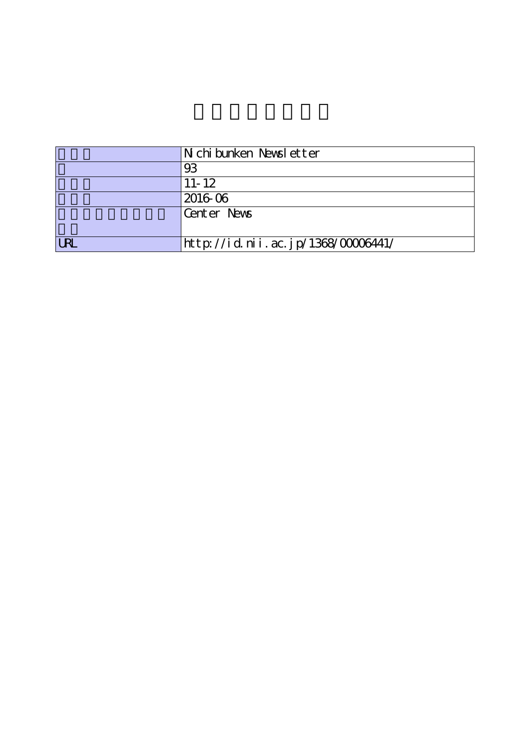|      | N chi bunken Newsl etter           |
|------|------------------------------------|
|      | 93                                 |
|      | $11 - 12$                          |
|      | 2016 06                            |
|      | Center News                        |
|      |                                    |
| I RI | http://id.nii.ac.jp/1368/00006441/ |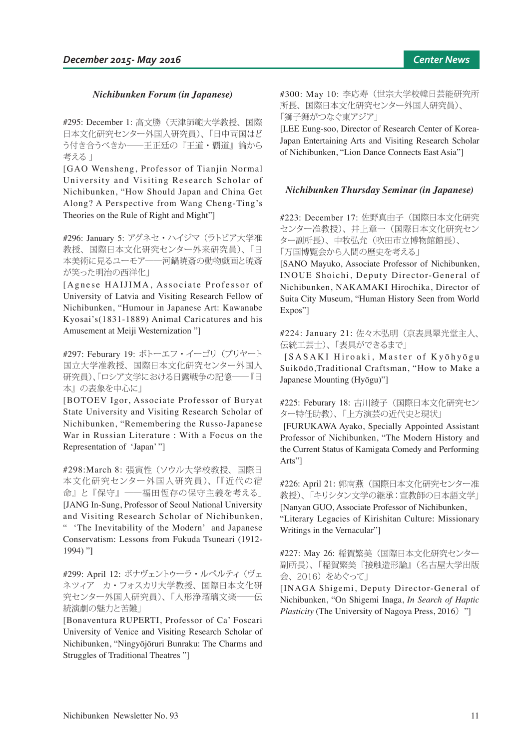# *Nichibunken Forum (in Japanese)*

#295: December 1: 高文勝(天津師範大学教授、国際 日本文化研究センター外国人研究員)、「日中両国はど う付き合うべきか――王正廷の『王道・覇道』論から 考える 」

[GAO Wensheng, Professor of Tianjin Normal University and Visiting Research Scholar of Nichibunken, "How Should Japan and China Get Along? A Perspective from Wang Cheng-Ting's Theories on the Rule of Right and Might"]

#296: January 5: アグネセ・ハイジマ (ラトビア大学准 教授、国際日本文化研究センター外来研究員)、「日 本美術に見るユーモア――河鍋暁斎の動物戯画と暁斎 が笑った明治の西洋化」

[Agnese HAIJIMA, Associate Professor of University of Latvia and Visiting Research Fellow of Nichibunken, "Humour in Japanese Art: Kawanabe Kyosai's(1831-1889) Animal Caricatures and his Amusement at Meiji Westernization "]

#297: Feburary 19: ボトーエフ・イーゴリ(ブリヤート 国立大学准教授、国際日本文化研究センター外国人 研究員)、「ロシア文学における日露戦争の記憶――『日 本』の表象を中心に」

[BOTOEV Igor, Associate Professor of Buryat State University and Visiting Research Scholar of Nichibunken, "Remembering the Russo-Japanese War in Russian Literature : With a Focus on the Representation of 'Japan' "]

#298:March 8: 張寅性 (ソウル大学校教授、国際日 本文化研究センター外国人研究員)、「『近代の宿 命』と『保守』――福田恆存の保守主義を考える」 [JANG In-Sung, Professor of Seoul National University and Visiting Research Scholar of Nichibunken, " 'The Inevitability of the Modern' and Japanese Conservatism: Lessons from Fukuda Tsuneari (1912- 1994) "]

#299: April 12: ボナヴェントゥーラ・ルペルティ (ヴェ ネツィア カ・フォスカリ大学教授、国際日本文化研 究センター外国人研究員)、「人形浄瑠璃文楽――伝 統演劇の魅力と苦難」

[Bonaventura RUPERTI, Professor of Ca' Foscari University of Venice and Visiting Research Scholar of Nichibunken, "Ningyōjōruri Bunraku: The Charms and Struggles of Traditional Theatres "]

#300: May 10: 李応寿(世宗大学校韓日芸能研究所 所長、国際日本文化研究センター外国人研究員)、 「獅子舞がつなぐ東アジア」

[LEE Eung-soo, Director of Research Center of Korea-Japan Entertaining Arts and Visiting Research Scholar of Nichibunken, "Lion Dance Connects East Asia"]

## *Nichibunken Thursday Seminar (in Japanese)*

#223: December 17: 佐野真由子(国際日本文化研究 センター准教授)、井上章一(国際日本文化研究セン ター副所長)、中牧弘允(吹田市立博物館館長)、 「万国博覧会から人間の歴史を考える」

[SANO Mayuko, Associate Professor of Nichibunken, INOUE Shoichi, Deputy Director-General of Nichibunken, NAKAMAKI Hirochika, Director of Suita City Museum, "Human History Seen from World Expos"]

#224: January 21: 佐々木弘明(京表具翠光堂主人、 伝統工芸士)、「表具ができるまで」

[ S A S A K I Hiroaki, Master of K y ohyogu Suikōdō,Traditional Craftsman, "How to Make a Japanese Mounting (Hyōgu)"]

## #225: Feburary 18: 古川綾子(国際日本文化研究セン ター特任助教)、「上方演芸の近代史と現状」

 [FURUKAWA Ayako, Specially Appointed Assistant Professor of Nichibunken, "The Modern History and the Current Status of Kamigata Comedy and Performing Arts"]

#226: April 21: 郭南燕(国際日本文化研究センター准 教授)、「キリシタン文学の継承:宣教師の日本語文学」 [Nanyan GUO, Associate Professor of Nichibunken, "Literary Legacies of Kirishitan Culture: Missionary

Writings in the Vernacular"]

#227: May 26: 稲賀繁美(国際日本文化研究センター 副所長)、「稲賀繁美『接触造形論』(名古屋大学出版 会、2016)をめぐって」

[INAGA Shigemi, Deputy Director-General of Nichibunken, "On Shigemi Inaga, *In Search of Haptic Plasticity* (The University of Nagoya Press, 2016) "]